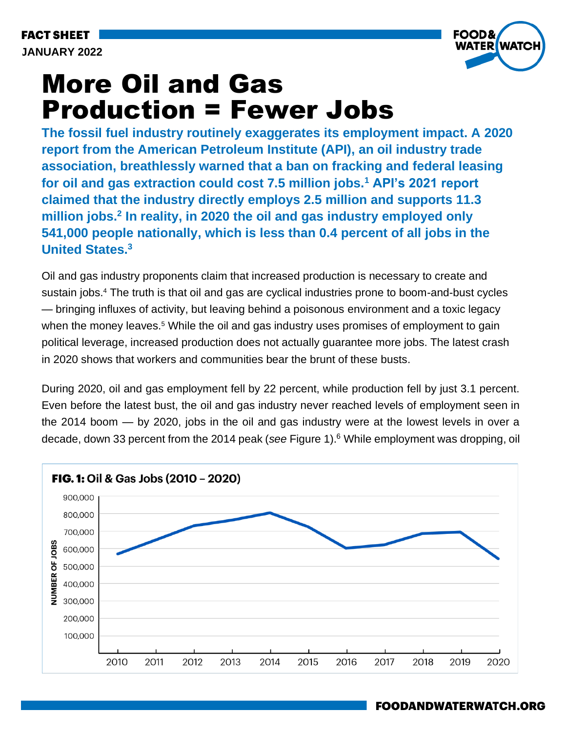**FACT SHEET JANUARY 2022**



# More Oil and Gas Production = Fewer Jobs

**The fossil fuel industry routinely exaggerates its employment impact. A 2020 report from the American Petroleum Institute (API), an oil industry trade association, breathlessly warned that a ban on fracking and federal leasing for oil and gas extraction could cost 7.5 million jobs.<sup>1</sup> API's 2021 report claimed that the industry directly employs 2.5 million and supports 11.3 million jobs.<sup>2</sup> In reality, in 2020 the oil and gas industry employed only 541,000 people nationally, which is less than 0.4 percent of all jobs in the United States.<sup>3</sup>**

Oil and gas industry proponents claim that increased production is necessary to create and sustain jobs.<sup>4</sup> The truth is that oil and gas are cyclical industries prone to boom-and-bust cycles — bringing influxes of activity, but leaving behind a poisonous environment and a toxic legacy when the money leaves.<sup>5</sup> While the oil and gas industry uses promises of employment to gain political leverage, increased production does not actually guarantee more jobs. The latest crash in 2020 shows that workers and communities bear the brunt of these busts.

During 2020, oil and gas employment fell by 22 percent, while production fell by just 3.1 percent. Even before the latest bust, the oil and gas industry never reached levels of employment seen in the 2014 boom — by 2020, jobs in the oil and gas industry were at the lowest levels in over a decade, down 33 percent from the 2014 peak (*see* Figure 1).<sup>6</sup> While employment was dropping, oil

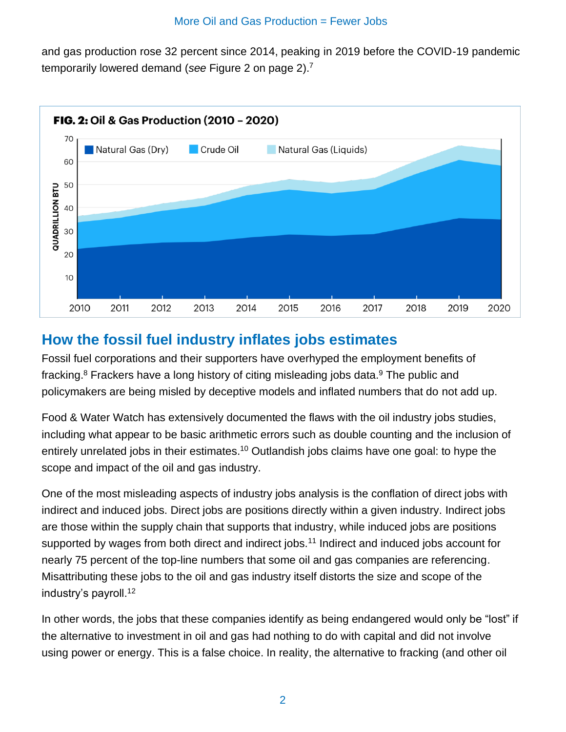and gas production rose 32 percent since 2014, peaking in 2019 before the COVID-19 pandemic temporarily lowered demand (*see* Figure 2 on page 2). 7



#### **How the fossil fuel industry inflates jobs estimates**

Fossil fuel corporations and their supporters have overhyped the employment benefits of fracking. $8$  Frackers have a long history of citing misleading jobs data. $9$  The public and policymakers are being misled by deceptive models and inflated numbers that do not add up.

Food & Water Watch has extensively documented the flaws with the oil industry jobs studies, including what appear to be basic arithmetic errors such as double counting and the inclusion of entirely unrelated jobs in their estimates.<sup>10</sup> Outlandish jobs claims have one goal: to hype the scope and impact of the oil and gas industry.

One of the most misleading aspects of industry jobs analysis is the conflation of direct jobs with indirect and induced jobs. Direct jobs are positions directly within a given industry. Indirect jobs are those within the supply chain that supports that industry, while induced jobs are positions supported by wages from both direct and indirect jobs.<sup>11</sup> Indirect and induced jobs account for nearly 75 percent of the top-line numbers that some oil and gas companies are referencing. Misattributing these jobs to the oil and gas industry itself distorts the size and scope of the industry's payroll.<sup>12</sup>

In other words, the jobs that these companies identify as being endangered would only be "lost" if the alternative to investment in oil and gas had nothing to do with capital and did not involve using power or energy. This is a false choice. In reality, the alternative to fracking (and other oil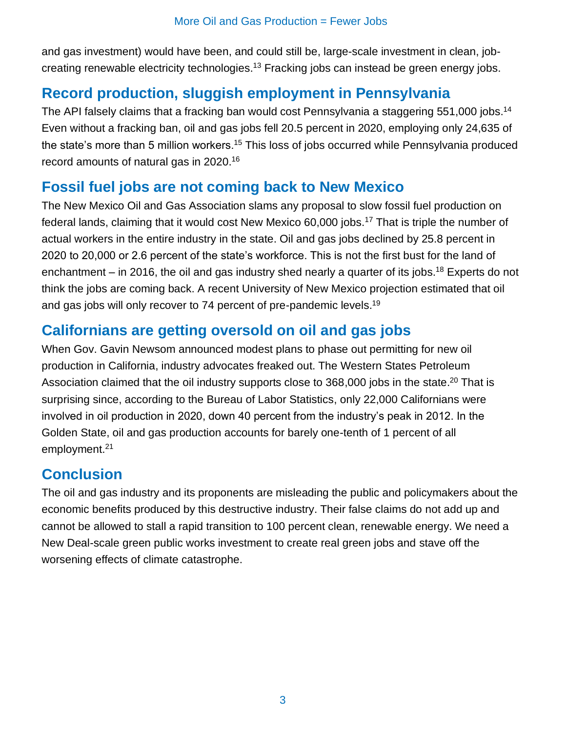and gas investment) would have been, and could still be, large-scale investment in clean, jobcreating renewable electricity technologies.<sup>13</sup> Fracking jobs can instead be green energy jobs.

## **Record production, sluggish employment in Pennsylvania**

The API falsely claims that a fracking ban would cost Pennsylvania a staggering 551,000 jobs.<sup>14</sup> Even without a fracking ban, oil and gas jobs fell 20.5 percent in 2020, employing only 24,635 of the state's more than 5 million workers.<sup>15</sup> This loss of jobs occurred while Pennsylvania produced record amounts of natural gas in 2020.<sup>16</sup>

#### **Fossil fuel jobs are not coming back to New Mexico**

The New Mexico Oil and Gas Association slams any proposal to slow fossil fuel production on federal lands, claiming that it would cost New Mexico 60,000 jobs.<sup>17</sup> That is triple the number of actual workers in the entire industry in the state. Oil and gas jobs declined by 25.8 percent in 2020 to 20,000 or 2.6 percent of the state's workforce. This is not the first bust for the land of enchantment – in 2016, the oil and gas industry shed nearly a quarter of its jobs.<sup>18</sup> Experts do not think the jobs are coming back. A recent University of New Mexico projection estimated that oil and gas jobs will only recover to 74 percent of pre-pandemic levels.<sup>19</sup>

#### **Californians are getting oversold on oil and gas jobs**

When Gov. Gavin Newsom announced modest plans to phase out permitting for new oil production in California, industry advocates freaked out. The Western States Petroleum Association claimed that the oil industry supports close to 368,000 jobs in the state.<sup>20</sup> That is surprising since, according to the Bureau of Labor Statistics, only 22,000 Californians were involved in oil production in 2020, down 40 percent from the industry's peak in 2012. In the Golden State, oil and gas production accounts for barely one-tenth of 1 percent of all employment.<sup>21</sup>

## **Conclusion**

The oil and gas industry and its proponents are misleading the public and policymakers about the economic benefits produced by this destructive industry. Their false claims do not add up and cannot be allowed to stall a rapid transition to 100 percent clean, renewable energy. We need a New Deal-scale green public works investment to create real green jobs and stave off the worsening effects of climate catastrophe.